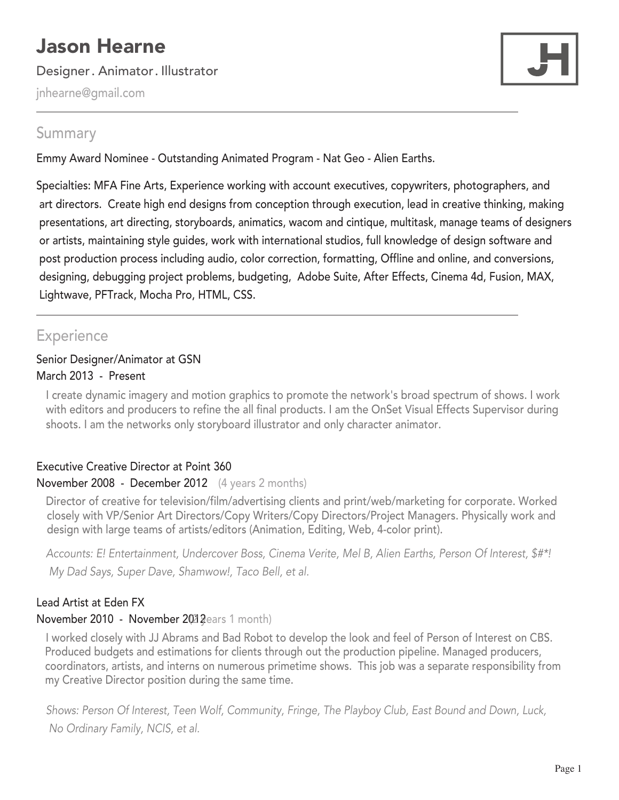# Jason Hearne

Designer. Animator. Illustrator

jnhearne@gmail.com



# Summary

Emmy Award Nominee - Outstanding Animated Program - Nat Geo - Alien Earths.

Specialties: MFA Fine Arts, Experience working with account executives, copywriters, photographers, and art directors. Create high end designs from conception through execution, lead in creative thinking, making presentations, art directing, storyboards, animatics, wacom and cintique, multitask, manage teams of designers or artists, maintaining style guides, work with international studios, full knowledge of design software and post production process including audio, color correction, formatting, Offline and online, and conversions, designing, debugging project problems, budgeting, Adobe Suite, After Effects, Cinema 4d, Fusion, MAX, Lightwave, PFTrack, Mocha Pro, HTML, CSS.

# **Experience**

## Senior Designer/Animator at GSN March 2013 - Present

I create dynamic imagery and motion graphics to promote the network's broad spectrum of shows. I work with editors and producers to refine the all final products. I am the OnSet Visual Effects Supervisor during shoots. I am the networks only storyboard illustrator and only character animator.

# Executive Creative Director at Point 360

# November 2008 - December 2012 (4 years 2 months)

Director of creative for television/film/advertising clients and print/web/marketing for corporate. Worked closely with VP/Senior Art Directors/Copy Writers/Copy Directors/Project Managers. Physically work and design with large teams of artists/editors (Animation, Editing, Web, 4-color print).

*Accounts: E! Entertainment, Undercover Boss, Cinema Verite, Mel B, Alien Earths, Person Of Interest, \$#\*! My Dad Says, Super Dave, Shamwow!, Taco Bell, et al.*

# Lead Artist at Eden FX

# November 2010 - November 2012 pears 1 month)

I worked closely with JJ Abrams and Bad Robot to develop the look and feel of Person of Interest on CBS. Produced budgets and estimations for clients through out the production pipeline. Managed producers, coordinators, artists, and interns on numerous primetime shows. This job was a separate responsibility from my Creative Director position during the same time.

*Shows: Person Of Interest, Teen Wolf, Community, Fringe, The Playboy Club, East Bound and Down, Luck, No Ordinary Family, NCIS, et al.*